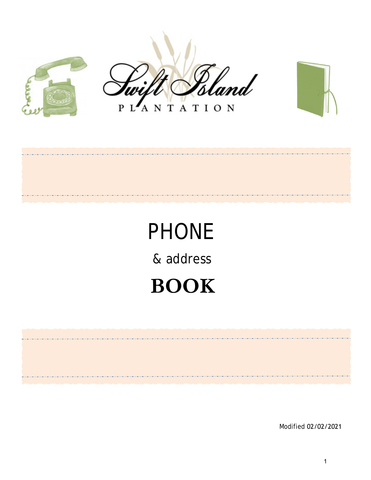





#### ANTATION  $\mathbf{P}$

# PHONE & address **BOOK**

Modified 07/16/2021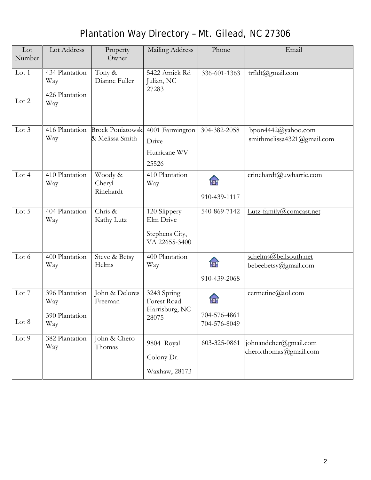# Plantation Way Directory – Mt. Gilead, NC 27306

| Lot<br>Number    | Lot Address                                    | Property<br>Owner                             | Mailing Address                                       | Phone                             | Email                                            |
|------------------|------------------------------------------------|-----------------------------------------------|-------------------------------------------------------|-----------------------------------|--------------------------------------------------|
| Lot 1<br>Lot $2$ | 434 Plantation<br>Way<br>426 Plantation<br>Way | Tony &<br>Dianne Fuller                       | 5422 Amick Rd<br>Julian, NC<br>27283                  | 336-601-1363                      | trfldt@gmail.com                                 |
| Lot 3            | 416 Plantation<br>Way                          | <b>Brock Poniatowski</b><br>& Melissa Smith   | 4001 Farmington<br>Drive<br>Hurricane WV<br>25526     | 304-382-2058                      | bpon4442@yahoo.com<br>smithmelissa4321@gmail.com |
| Lot $4$          | 410 Plantation<br>Way                          | Woody &<br>Cheryl<br>Rinehardt                | 410 Plantation<br>Way                                 | m<br>910-439-1117                 | crinehardt@uwharrie.com                          |
| Lot 5            | 404 Plantation<br>Way                          | <b>CAM</b><br>Development<br>Properties, Inc. | 371 N. Bilhen<br>Street<br>Troy NC<br>273371          |                                   |                                                  |
| Lot 6            | 400 Plantation<br>Way                          | Steve & Betsy<br>Helms                        | 400 Plantation<br>Way                                 | 佃<br>910-439-2068                 | schelms@bellsouth.net<br>bebeebetsy@gmail.com    |
| Lot 7<br>Lot 8   | 396 Plantation<br>Way<br>390 Plantation<br>Way | John & Delores<br>Freeman                     | 3243 Spring<br>Forest Road<br>Harrisburg, NC<br>28075 | Ŧ<br>704-576-4861<br>704-576-8049 | cermetinc@aol.com                                |
| Lot 9            | 382 Plantation<br>Way                          | John & Chero<br>Thomas                        | 9804 Royal<br>Colony Dr.<br>Waxhaw, 28173             | 603-325-0861                      | johnandcher@gmail.com<br>chero.thomas@gmail.com  |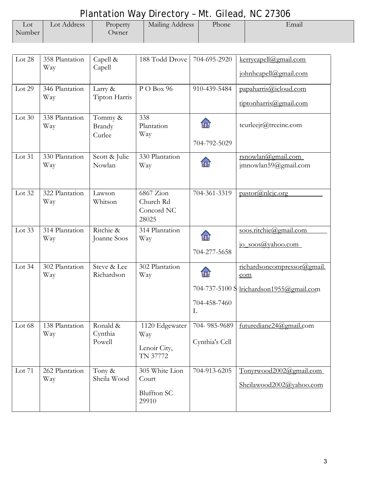#### Plantation Way Directory – Mt. Gilead, NC 27306

| Lot    | Lot Address | Property | Mailing Address | Phone | Email |  |  |  |  |  |
|--------|-------------|----------|-----------------|-------|-------|--|--|--|--|--|
| Number |             | Jwner    |                 |       |       |  |  |  |  |  |
|        |             |          |                 |       |       |  |  |  |  |  |

| Lot 28   | 358 Plantation<br>Way | Capell &<br>Capell            | 188 Todd Drove                                         | 704-695-2920                               | kerrycapell@gmail.com<br>johnhcapell@gmail.com                  |
|----------|-----------------------|-------------------------------|--------------------------------------------------------|--------------------------------------------|-----------------------------------------------------------------|
| Lot 29   | 346 Plantation<br>Way | Larry &<br>Tipton Harris      | PO Box 96                                              | 910-439-5484                               | papaharris@icloud.com<br>tiptonharris@gmail.com                 |
| Lot $30$ | 338 Plantation<br>Way | Tommy &<br>Brandy<br>Curlee   | 338<br>Plantation<br>Way                               | 704-792-5029                               | tcurleejr@trceinc.com                                           |
| Lot 31   | 330 Plantation<br>Way | Scott & Julie<br>Nowlan       | 330 Plantation<br>Way                                  | .<br>Hi                                    | rsnowlan@gmail.com<br>jmnowlan59@gmail.com                      |
| Lot 32   | 322 Plantation<br>Way | Lawson<br>Whitson             | 6867 Zion<br>Church Rd<br>Concord NC<br>28025          | 704-361-3319                               | pastor@nlcjc.org                                                |
| Lot $33$ | 314 Plantation<br>Way | Ritchie &<br>Joanne Soos      | 314 Plantation<br>Way                                  | <b>FTE</b><br>704-277-5658                 | soos.ritchie@gmail.com<br>jo soos@yahoo.com                     |
| Lot $34$ | 302 Plantation<br>Way | Steve & Lee<br>Richardson     | 302 Plantation<br>Way                                  | HT.<br>704-737-5100 S<br>704-458-7460<br>L | richardsoncompressor@gmail.<br>com<br>lrichardson1955@gmail.com |
| Lot $68$ | 138 Plantation<br>Way | Ronald &<br>Cynthia<br>Powell | Way<br>Lenoir City,<br>TN 37772                        | Cynthia's Cell                             | 1120 Edgewater   704- 985-9689   futurediane24@gmail.com        |
| Lot 71   | 262 Plantation<br>Way | Tony &<br>Sheila Wood         | 305 White Lion<br>Court<br><b>Bluffton SC</b><br>29910 | 704-913-6205                               | Tonyrwood2002@gmail.com<br>Sheilawood2002@yahoo.com             |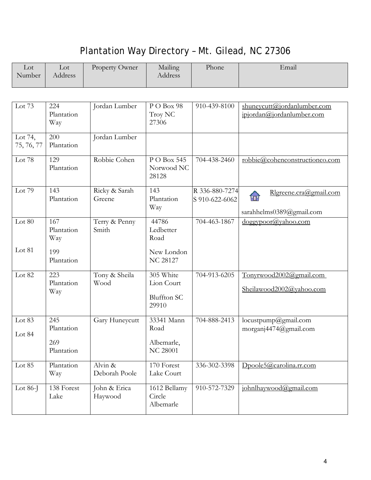#### Plantation Way Directory – Mt. Gilead, NC 27306

| $_{\rm Lot}$<br>Number | Lot<br>Address | Property Owner | Mailing<br>Address | Phone | Email |
|------------------------|----------------|----------------|--------------------|-------|-------|
|                        |                |                |                    |       |       |

| Lot 73                | 224<br>Plantation<br>Way               | Jordan Lumber            | PO Box 98<br>Troy NC<br>27306                          | 910-439-8100                          | shuneycutt@jordanlumber.com<br>jpjordan@jordanlumber.com |
|-----------------------|----------------------------------------|--------------------------|--------------------------------------------------------|---------------------------------------|----------------------------------------------------------|
| Lot 74,<br>75, 76, 77 | 200<br>Plantation                      | Jordan Lumber            |                                                        |                                       |                                                          |
| Lot 78                | 129<br>Plantation                      | Robbie Cohen             | P O Box 545<br>Norwood NC<br>28128                     | 704-438-2460                          | robbie@cohenconstructionco.com                           |
| Lot 79                | 143<br>Plantation                      | Ricky & Sarah<br>Greene  | 143<br>Plantation<br>Way                               | T<br>R 336-880-7274<br>S 910-622-6062 | Rlgreene.cra@gmail.com<br>sarahhelms0389@gmail.com       |
| Lot $80$              | 167<br>Plantation<br>Way               | Terry & Penny<br>Smith   | 44786<br>Ledbetter<br>Road                             | 704-463-1867                          | dogeypoor@yahoo.com                                      |
| Lot 81                | 199<br>Plantation                      |                          | New London<br><b>NC 28127</b>                          |                                       |                                                          |
| Lot 82                | 223<br>Plantation<br>Way               | Tony & Sheila<br>Wood    | 305 White<br>Lion Court<br><b>Bluffton SC</b><br>29910 | 704-913-6205                          | Tonyrwood2002@gmail.com<br>Sheilawood2002@yahoo.com      |
| Lot 83<br>Lot 84      | 245<br>Plantation<br>269<br>Plantation | Hannah Kinnard           | 12365 NC 24<br>27 Highway<br>Locust<br><b>NC 28097</b> |                                       | hannahkinnard3@gmail.com                                 |
| Lot 85                | Plantation<br>Way                      | Alvin &<br>Deborah Poole | 170 Forest<br>Lake Court                               | 336-302-3398                          | Dpoole5@carolina.rr.com                                  |
| Lot $86-I$            | 138 Forest<br>Lake                     | John & Erica<br>Haywood  | 1612 Bellamy<br>Circle<br>Albemarle                    | 企<br>910-572-7329                     | johnlhaywood@gmail.com                                   |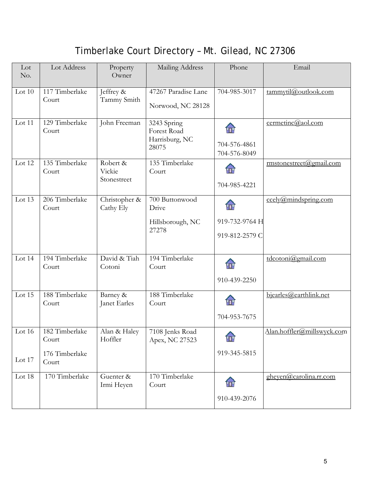#### Timberlake Court Directory – Mt. Gilead, NC 27306

| Lot<br>No. | Lot Address                               | Property<br>Owner                 | Mailing Address                                       | Phone                                  | Email                      |
|------------|-------------------------------------------|-----------------------------------|-------------------------------------------------------|----------------------------------------|----------------------------|
| Lot $10$   | 117 Timberlake<br>Court                   | Jeffrey &<br>Tammy Smith          | 47267 Paradise Lane<br>Norwood, NC 28128              | 704-985-3017                           | tammytil@outlook.com       |
| Lot 11     | 129 Timberlake<br>Court                   | John Freeman                      | 3243 Spring<br>Forest Road<br>Harrisburg, NC<br>28075 | ÍП<br>704-576-4861<br>704-576-8049     | cermetinc@aol.com          |
| Lot 12     | 135 Timberlake<br>Court                   | Robert &<br>Vickie<br>Stonestreet | 135 Timberlake<br>Court                               | ÍП<br>704-985-4221                     | rmstonestreet@gmail.com    |
| Lot 13     | 206 Timberlake<br>Court                   | Christopher &<br>Cathy Ely        | 700 Buttonwood<br>Drive<br>Hillsborough, NC<br>27278  | ÍП<br>919-732-9764 H<br>919-812-2579 C | ccely @mindspring.com      |
| Lot 14     | 194 Timberlake<br>Court                   | David & Tiah<br>Cotoni            | 194 Timberlake<br>Court                               | ÍT<br>910-439-2250                     | tdcotoni@gmail.com         |
| Lot 15     | 188 Timberlake<br>Court                   | Barney &<br>Janet Earles          | 188 Timberlake<br>Court                               | ÍП<br>704-953-7675                     | bjearles@earthlink.net     |
| Lot 16     | 182 Timberlake<br>Court<br>176 Timberlake | Alan & Haley<br>Hoffler           | 7108 Jenks Road<br>Apex, NC 27523                     | FIT<br>919-345-5815                    | Alan.hoffler@millswyck.com |
| Lot 17     | Court                                     |                                   |                                                       |                                        |                            |
| Lot 18     | 170 Timberlake                            | Guenter &<br>Irmi Heyen           | 170 Timberlake<br>Court                               | for<br>910-439-2076                    | gheven@carolina.rr.com     |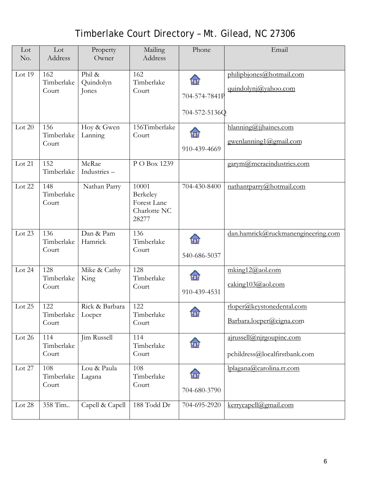#### Timberlake Court Directory – Mt. Gilead, NC 27306

| Lot<br>No. | Lot<br>Address             | Property<br>Owner            | Mailing<br>Address                                        | Phone                                        | Email                                                     |
|------------|----------------------------|------------------------------|-----------------------------------------------------------|----------------------------------------------|-----------------------------------------------------------|
| Lot 19     | 162<br>Timberlake<br>Court | Phil &<br>Quindolyn<br>Jones | 162<br>Timberlake<br>Court                                | <b>FTE</b><br>704-574-7841P<br>704-572-5136Q | philipbjones@hotmail.com<br>quindolynj@yahoo.com          |
| Lot $20$   | 156<br>Timberlake<br>Court | Hoy & Gwen<br>Lanning        | 156Timberlake<br>Court                                    | ÍП<br>910-439-4669                           | hlanning@jjhaines.com<br>gwenlanning1@gmail.com           |
| Lot 21     | 152<br>Timberlake          | McRae<br>Industries-         | P O Box 1239                                              |                                              | garym@mcraeindustries.com                                 |
| Lot 22     | 148<br>Timberlake<br>Court | Nathan Parry                 | 10001<br>Berkeley<br>Forest Lane<br>Charlotte NC<br>28277 | 704-430-8400                                 | nathantparry@hotmail.com                                  |
| Lot 23     | 136<br>Timberlake<br>Court | Dan & Pam<br>Hamrick         | 136<br>Timberlake<br>Court                                | 佃<br>540-686-5037                            | dan.hamrick@ruckmanengineering.com                        |
| Lot $24$   | 128<br>Timberlake<br>Court | Mike & Cathy<br>King         | 128<br>Timberlake<br>Court                                | 'n<br>910-439-4531                           | mking12@aol.com<br>caking103@aol.com                      |
| Lot 25     | 122<br>Timberlake<br>Court | Rick & Barbara<br>Loeper     | 122<br>Timberlake<br>Court                                | Far                                          | lcbr1234@yahoo.com<br>Barbara.loeper@cigna.com            |
| Lot 26     | 114<br>Timberlake<br>Court | Jim Russell                  | 114<br>Timberlake<br>Court                                | H                                            | ajrussell@njrgoupinc.com<br>pchildress@localfirstbank.com |
| Lot 27     | 108<br>Timberlake<br>Court | Lou & Paula<br>Lagana        | 108<br>Timberlake<br>Court                                | 佃<br>704-680-3790                            | lplagana@carolina.rr.com                                  |
| Lot 28     | 358 Tim                    | Capell & Capell              | 188 Todd Dr                                               | 704-695-2920                                 | kerrycapell@gmail.com                                     |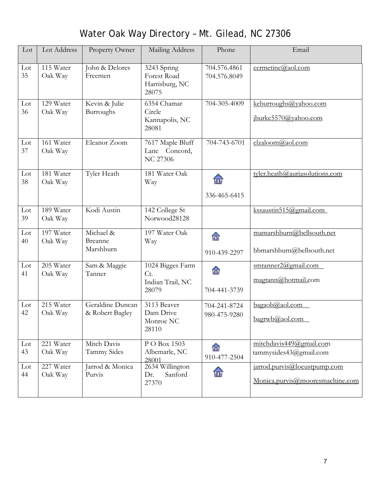| Lot       | Lot Address          | Property Owner                         | Mailing Address                                       | Phone                        | Email                                                           |
|-----------|----------------------|----------------------------------------|-------------------------------------------------------|------------------------------|-----------------------------------------------------------------|
| Lot<br>35 | 115 Water<br>Oak Way | John & Delores<br>Freemen              | 3243 Spring<br>Forest Road<br>Harrisburg, NC<br>28075 | 704.576.4861<br>704.576.8049 | cermetinc@aol.com                                               |
| Lot<br>36 | 129 Water<br>Oak Way | Kevin & Julie<br>Burroughs             | 6354 Chamar<br>Circle<br>Kannapolis, NC<br>28081      | 704-305-4009                 | keburroughs@yahoo.com<br>jburke5570@yahoo.com                   |
| Lot<br>37 | 161 Water<br>Oak Way | Eleanor Zoom                           | 7617 Maple Bluff<br>Lane Concord,<br><b>NC 27306</b>  | 704-743-6701                 | elzaloom@gmail.com                                              |
| Lot<br>38 | 181 Water<br>Oak Way | Tyler Heath                            | 181 Water Oak<br>Way                                  | m<br>336-465-6415            | tyler.heath@auriasolutions.com                                  |
| Lot<br>39 | 189 Water<br>Oak Way | Kodi Austin                            | 142 College St<br>Norwood28128                        |                              | kssaustin515@gmail.com                                          |
| Lot<br>40 | 197 Water<br>Oak Way | Michael &<br>Breanne<br>Marshburn      | 197 Water Oak<br>Way                                  | $\mathbf{r}$<br>910-439-2297 | mamarshburn@bellsouth.net<br>bbmarshburn@bellsouth.net          |
| Lot<br>41 | 205 Water<br>Oak Way | Sam & Maggie<br>Tanner                 | 1024 Bigges Farm<br>Ct.<br>Indian Trail, NC<br>28079  | m<br>704-441-3739            | smtanner2@gmail.com<br>magtann@hotmail.com                      |
| Lot<br>42 | 215 Water<br>Oak Way | Geraldine Duncan<br>$\&$ Robert Bagley | 3113 Beaver<br>Dam Drive<br>Monroe NC<br>28110        | 704-241-8724<br>980-475-9280 | bagaob@aol.com<br>bagrwb@aol.com                                |
| Lot<br>43 | 221 Water<br>Oak Way | Mitch Davis<br><b>Tammy Sides</b>      | P O Box 1503<br>Albemarle, NC<br>28001                | m<br>910-477-2504            | mitchdavis449@gmail.com<br>tammysides43@gmail.com               |
| Lot<br>44 | 227 Water<br>Oak Way | Jarrod & Monica<br>Purvis              | 2634 Willington<br>Sanford<br>Dr.<br>27370            | m                            | jarrod.purvis@locustpump.com<br>Monica.purvis@mooresmachine.com |

# Water Oak Way Directory – Mt. Gilead, NC 27306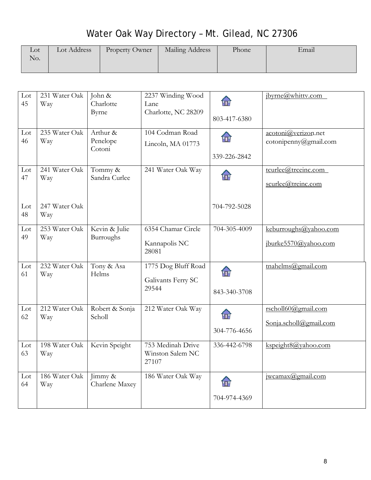# Water Oak Way Directory – Mt. Gilead, NC 27306

| $_{\rm Lot}$ | Lot Address | Property Owner | Mailing Address | Phone | Email |
|--------------|-------------|----------------|-----------------|-------|-------|
| No.          |             |                |                 |       |       |
|              |             |                |                 |       |       |

| Lot<br>45 | 231 Water Oak<br>Way | John &<br>Charlotte<br>Byrne   | 2237 Winding Wood<br>Lane<br>Charlotte, NC 28209   | Ŧ<br>803-417-6380  | ibyrne@whitty.com                             |
|-----------|----------------------|--------------------------------|----------------------------------------------------|--------------------|-----------------------------------------------|
| Lot<br>46 | 235 Water Oak<br>Way | Arthur &<br>Penelope<br>Cotoni | 104 Codman Road<br>Lincoln, MA 01773               | ÍП<br>339-226-2842 | acotoni@verizon.net<br>cotonipenny@gmail.com  |
| Lot<br>47 | 241 Water Oak<br>Way | Tommy &<br>Sandra Curlee       | 241 Water Oak Way                                  |                    | tcurlee@trceinc.com<br>scurlee@treinc.com     |
| Lot<br>48 | 247 Water Oak<br>Way |                                |                                                    | 704-792-5028       |                                               |
| Lot<br>49 | 253 Water Oak<br>Way | Kevin & Julie<br>Burroughs     | 6354 Chamar Circle<br>Kannapolis NC<br>28081       | 704-305-4009       | keburroughs@yahoo.com<br>jburke5570@yahoo.com |
| Lot<br>61 | 232 Water Oak<br>Way | Tony & Asa<br>Helms            | 1775 Dog Bluff Road<br>Galivants Ferry SC<br>29544 | m<br>843-340-3708  | tnahelms@gmail.com                            |
| Lot<br>62 | 212 Water Oak<br>Way | Robert & Sonja<br>Scholl       | 212 Water Oak Way                                  | ŦT<br>304-776-4656 | rscholl60@gmail.com<br>Sonja.scholl@gmail.com |
| Lot<br>63 | 198 Water Oak<br>Way | Kevin Speight                  | 753 Medinah Drive<br>Winston Salem NC<br>27107     | 336-442-6798       | kspeight8@yahoo.com                           |
| Lot<br>64 | 186 Water Oak<br>Way | Jimmy &<br>Charlene Maxey      | 186 Water Oak Way                                  | 佃<br>704-974-4369  | jwcanax@gmail.com                             |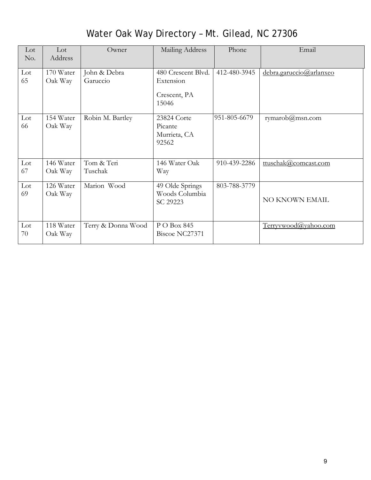| Lot<br>No. | Lot<br>Address       | Owner                    | Mailing Address                                          | Phone             | Email                   |
|------------|----------------------|--------------------------|----------------------------------------------------------|-------------------|-------------------------|
| Lot<br>65  | 170 Water<br>Oak Way | John & Debra<br>Garuccio | 480 Crescent Blvd.<br>Extension<br>Crescent, PA<br>15046 | 412-480-3945      | debra.garuccio@arlanxeo |
| Lot<br>66  | 154 Water<br>Oak Way | Robin M. Bartley         | 23824 Corte<br>Picante<br>Murrieta, CA<br>92562          | 951-805-6679      | rymarob $@$ msn.com     |
| Lot<br>67  | 146 Water<br>Oak Way | Tom & Teri<br>Tuschak    | 146 Water Oak<br>Way                                     | 俞<br>910-439-2286 | ttuschak@comcast.com    |
| Lot<br>69  | 126 Water<br>Oak Way | Marion Wood              | 49 Olde Springs<br>Woods Columbia<br>SC 29223            | 803-788-3779      | NO KNOWN EMAIL          |
| Lot<br>70  | 118 Water<br>Oak Way | Terry & Donna Wood       | P O Box 845<br>Biscoe NC27371                            |                   | Terryywood@yahoo.com    |

#### Water Oak Way Directory – Mt. Gilead, NC 27306